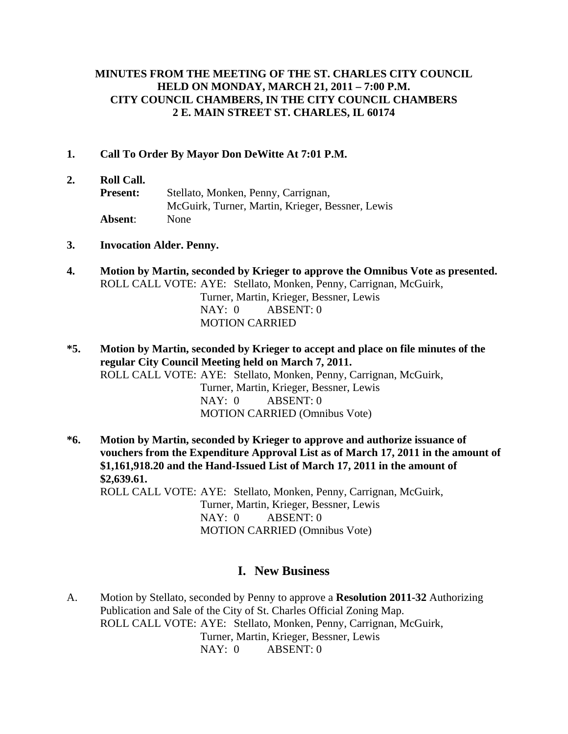### **MINUTES FROM THE MEETING OF THE ST. CHARLES CITY COUNCIL HELD ON MONDAY, MARCH 21, 2011 – 7:00 P.M. CITY COUNCIL CHAMBERS, IN THE CITY COUNCIL CHAMBERS 2 E. MAIN STREET ST. CHARLES, IL 60174**

#### **1. Call To Order By Mayor Don DeWitte At 7:01 P.M.**

#### **2. Roll Call.**

- **Present:** Stellato, Monken, Penny, Carrignan, McGuirk, Turner, Martin, Krieger, Bessner, Lewis **Absent**: None
- **3. Invocation Alder. Penny.**
- **4. Motion by Martin, seconded by Krieger to approve the Omnibus Vote as presented.** ROLL CALL VOTE: AYE: Stellato, Monken, Penny, Carrignan, McGuirk, Turner, Martin, Krieger, Bessner, Lewis NAY: 0 ABSENT: 0

MOTION CARRIED

- **\*5. Motion by Martin, seconded by Krieger to accept and place on file minutes of the regular City Council Meeting held on March 7, 2011.**  ROLL CALL VOTE: AYE: Stellato, Monken, Penny, Carrignan, McGuirk, Turner, Martin, Krieger, Bessner, Lewis NAY: 0 ABSENT: 0 MOTION CARRIED (Omnibus Vote)
- **\*6. Motion by Martin, seconded by Krieger to approve and authorize issuance of vouchers from the Expenditure Approval List as of March 17, 2011 in the amount of \$1,161,918.20 and the Hand-Issued List of March 17, 2011 in the amount of \$2,639.61.**  ROLL CALL VOTE: AYE: Stellato, Monken, Penny, Carrignan, McGuirk, Turner, Martin, Krieger, Bessner, Lewis NAY: 0 ABSENT: 0 MOTION CARRIED (Omnibus Vote)

# **I. New Business**

A. Motion by Stellato, seconded by Penny to approve a **Resolution 2011-32** Authorizing Publication and Sale of the City of St. Charles Official Zoning Map. ROLL CALL VOTE: AYE: Stellato, Monken, Penny, Carrignan, McGuirk, Turner, Martin, Krieger, Bessner, Lewis NAY: 0 ABSENT: 0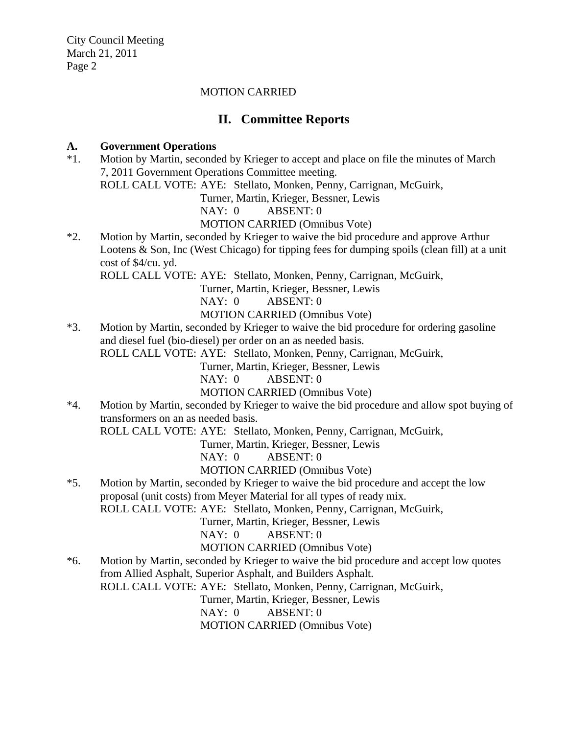#### MOTION CARRIED

# **II. Committee Reports**

#### **A. Government Operations**

\*1. Motion by Martin, seconded by Krieger to accept and place on file the minutes of March 7, 2011 Government Operations Committee meeting. ROLL CALL VOTE: AYE: Stellato, Monken, Penny, Carrignan, McGuirk, Turner, Martin, Krieger, Bessner, Lewis NAY: 0 ABSENT: 0 MOTION CARRIED (Omnibus Vote) \*2. Motion by Martin, seconded by Krieger to waive the bid procedure and approve Arthur Lootens & Son, Inc (West Chicago) for tipping fees for dumping spoils (clean fill) at a unit cost of \$4/cu. yd. ROLL CALL VOTE: AYE: Stellato, Monken, Penny, Carrignan, McGuirk,

Turner, Martin, Krieger, Bessner, Lewis

NAY: 0 ABSENT: 0

MOTION CARRIED (Omnibus Vote)

\*3. Motion by Martin, seconded by Krieger to waive the bid procedure for ordering gasoline and diesel fuel (bio-diesel) per order on an as needed basis.

ROLL CALL VOTE: AYE: Stellato, Monken, Penny, Carrignan, McGuirk,

Turner, Martin, Krieger, Bessner, Lewis

NAY: 0 ABSENT: 0

MOTION CARRIED (Omnibus Vote)

\*4. Motion by Martin, seconded by Krieger to waive the bid procedure and allow spot buying of transformers on an as needed basis.

ROLL CALL VOTE: AYE: Stellato, Monken, Penny, Carrignan, McGuirk,

Turner, Martin, Krieger, Bessner, Lewis

NAY: 0 ABSENT: 0

MOTION CARRIED (Omnibus Vote)

\*5. Motion by Martin, seconded by Krieger to waive the bid procedure and accept the low proposal (unit costs) from Meyer Material for all types of ready mix.

ROLL CALL VOTE: AYE: Stellato, Monken, Penny, Carrignan, McGuirk,

Turner, Martin, Krieger, Bessner, Lewis

NAY: 0 ABSENT: 0

MOTION CARRIED (Omnibus Vote)

\*6. Motion by Martin, seconded by Krieger to waive the bid procedure and accept low quotes from Allied Asphalt, Superior Asphalt, and Builders Asphalt.

ROLL CALL VOTE: AYE: Stellato, Monken, Penny, Carrignan, McGuirk,

Turner, Martin, Krieger, Bessner, Lewis

NAY: 0 ABSENT: 0

MOTION CARRIED (Omnibus Vote)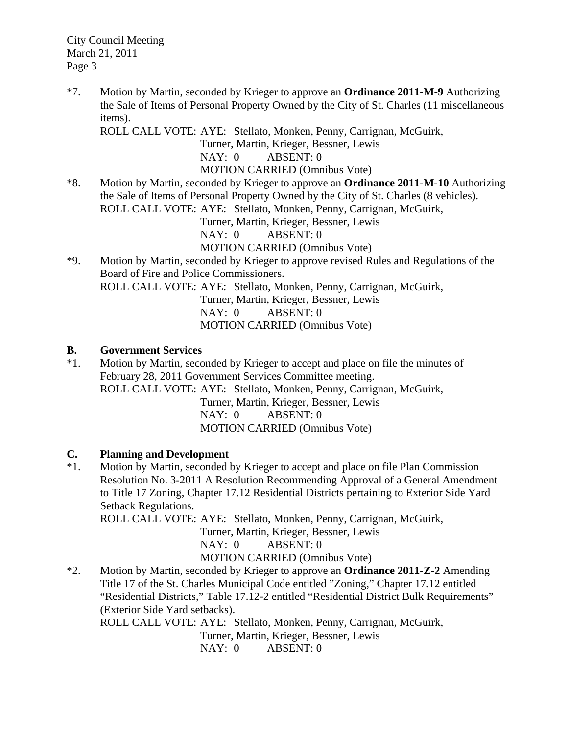\*7. Motion by Martin, seconded by Krieger to approve an **Ordinance 2011-M-9** Authorizing the Sale of Items of Personal Property Owned by the City of St. Charles (11 miscellaneous items).

ROLL CALL VOTE: AYE: Stellato, Monken, Penny, Carrignan, McGuirk,

Turner, Martin, Krieger, Bessner, Lewis

NAY: 0 ABSENT: 0

MOTION CARRIED (Omnibus Vote)

\*8. Motion by Martin, seconded by Krieger to approve an **Ordinance 2011-M-10** Authorizing the Sale of Items of Personal Property Owned by the City of St. Charles (8 vehicles). ROLL CALL VOTE: AYE: Stellato, Monken, Penny, Carrignan, McGuirk,

Turner, Martin, Krieger, Bessner, Lewis

NAY: 0 ABSENT: 0

MOTION CARRIED (Omnibus Vote)

\*9. Motion by Martin, seconded by Krieger to approve revised Rules and Regulations of the Board of Fire and Police Commissioners.

ROLL CALL VOTE: AYE: Stellato, Monken, Penny, Carrignan, McGuirk,

Turner, Martin, Krieger, Bessner, Lewis

 NAY: 0 ABSENT: 0 MOTION CARRIED (Omnibus Vote)

## **B. Government Services**

\*1. Motion by Martin, seconded by Krieger to accept and place on file the minutes of February 28, 2011 Government Services Committee meeting. ROLL CALL VOTE: AYE: Stellato, Monken, Penny, Carrignan, McGuirk, Turner, Martin, Krieger, Bessner, Lewis NAY: 0 ABSENT: 0 MOTION CARRIED (Omnibus Vote)

## **C. Planning and Development**

\*1. Motion by Martin, seconded by Krieger to accept and place on file Plan Commission Resolution No. 3-2011 A Resolution Recommending Approval of a General Amendment to Title 17 Zoning, Chapter 17.12 Residential Districts pertaining to Exterior Side Yard Setback Regulations.

ROLL CALL VOTE: AYE: Stellato, Monken, Penny, Carrignan, McGuirk,

Turner, Martin, Krieger, Bessner, Lewis

NAY: 0 ABSENT: 0

MOTION CARRIED (Omnibus Vote)

\*2. Motion by Martin, seconded by Krieger to approve an **Ordinance 2011-Z-2** Amending Title 17 of the St. Charles Municipal Code entitled "Zoning," Chapter 17.12 entitled "Residential Districts," Table 17.12-2 entitled "Residential District Bulk Requirements" (Exterior Side Yard setbacks).

ROLL CALL VOTE: AYE: Stellato, Monken, Penny, Carrignan, McGuirk,

Turner, Martin, Krieger, Bessner, Lewis

NAY: 0 ABSENT: 0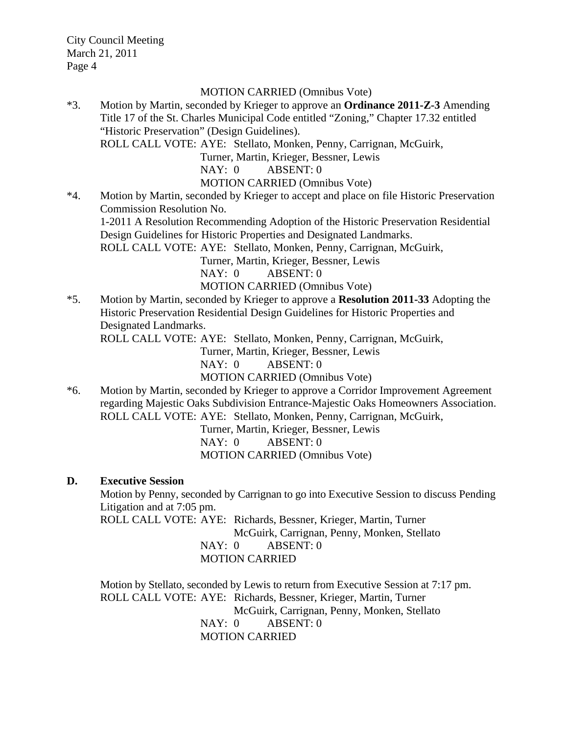#### MOTION CARRIED (Omnibus Vote)

\*3. Motion by Martin, seconded by Krieger to approve an **Ordinance 2011-Z-3** Amending Title 17 of the St. Charles Municipal Code entitled "Zoning," Chapter 17.32 entitled "Historic Preservation" (Design Guidelines).

ROLL CALL VOTE: AYE: Stellato, Monken, Penny, Carrignan, McGuirk,

Turner, Martin, Krieger, Bessner, Lewis

NAY: 0 ABSENT: 0

MOTION CARRIED (Omnibus Vote)

\*4. Motion by Martin, seconded by Krieger to accept and place on file Historic Preservation Commission Resolution No. 1-2011 A Resolution Recommending Adoption of the Historic Preservation Residential Design Guidelines for Historic Properties and Designated Landmarks. ROLL CALL VOTE: AYE: Stellato, Monken, Penny, Carrignan, McGuirk, Turner, Martin, Krieger, Bessner, Lewis

NAY: 0 ABSENT: 0

MOTION CARRIED (Omnibus Vote)

\*5. Motion by Martin, seconded by Krieger to approve a **Resolution 2011-33** Adopting the Historic Preservation Residential Design Guidelines for Historic Properties and Designated Landmarks.

ROLL CALL VOTE: AYE: Stellato, Monken, Penny, Carrignan, McGuirk,

Turner, Martin, Krieger, Bessner, Lewis

NAY: 0 ABSENT: 0

MOTION CARRIED (Omnibus Vote)

\*6. Motion by Martin, seconded by Krieger to approve a Corridor Improvement Agreement regarding Majestic Oaks Subdivision Entrance-Majestic Oaks Homeowners Association. ROLL CALL VOTE: AYE: Stellato, Monken, Penny, Carrignan, McGuirk,

> Turner, Martin, Krieger, Bessner, Lewis NAY: 0 ABSENT: 0 MOTION CARRIED (Omnibus Vote)

#### **D. Executive Session**

 Motion by Penny, seconded by Carrignan to go into Executive Session to discuss Pending Litigation and at 7:05 pm.

 ROLL CALL VOTE: AYE: Richards, Bessner, Krieger, Martin, Turner McGuirk, Carrignan, Penny, Monken, Stellato NAY: 0 ABSENT: 0 MOTION CARRIED

 Motion by Stellato, seconded by Lewis to return from Executive Session at 7:17 pm. ROLL CALL VOTE: AYE: Richards, Bessner, Krieger, Martin, Turner McGuirk, Carrignan, Penny, Monken, Stellato NAY: 0 ABSENT: 0 MOTION CARRIED